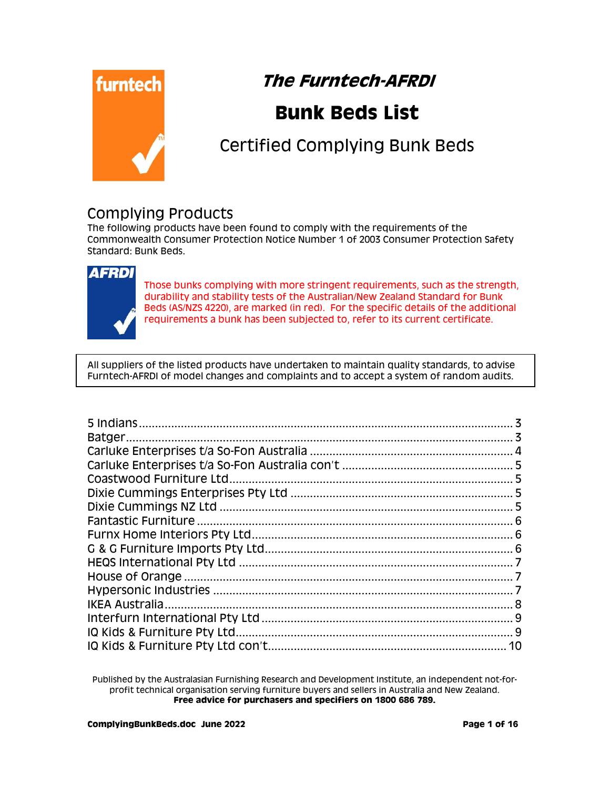

# **The Furntech-AFRDI**

# **Bunk Beds List**

# Certified Complying Bunk Beds

#### Complying Products

The following products have been found to comply with the requirements of the Commonwealth Consumer Protection Notice Number 1 of 2003 Consumer Protection Safety Standard: Bunk Beds.



Those bunks complying with more stringent requirements, such as the strength, durability and stability tests of the Australian/New Zealand Standard for Bunk Beds (AS/NZS 4220), are marked (in red). For the specific details of the additional requirements a bunk has been subjected to, refer to its current certificate.

All suppliers of the listed products have undertaken to maintain quality standards, to advise Furntech-AFRDI of model changes and complaints and to accept a system of random audits.

| 10 |
|----|

Published by the Australasian Furnishing Research and Development Institute, an independent not-forprofit technical organisation serving furniture buyers and sellers in Australia and New Zealand. **Free advice for purchasers and specifiers on 1800 686 789.**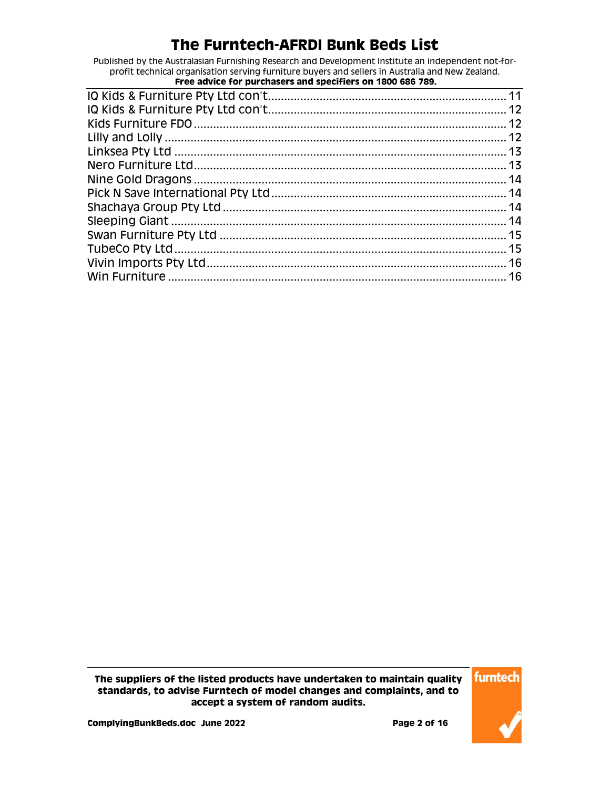Published by the Australasian Furnishing Research and Development Institute an independent not-forprofit technical organisation serving furniture buyers and sellers in Australia and New Zealand.

| Free advice for purchasers and specifiers on 1800 686 789. |  |
|------------------------------------------------------------|--|
|                                                            |  |
|                                                            |  |
|                                                            |  |
|                                                            |  |
|                                                            |  |
|                                                            |  |
|                                                            |  |
|                                                            |  |
|                                                            |  |
|                                                            |  |
|                                                            |  |
|                                                            |  |
|                                                            |  |
|                                                            |  |
|                                                            |  |

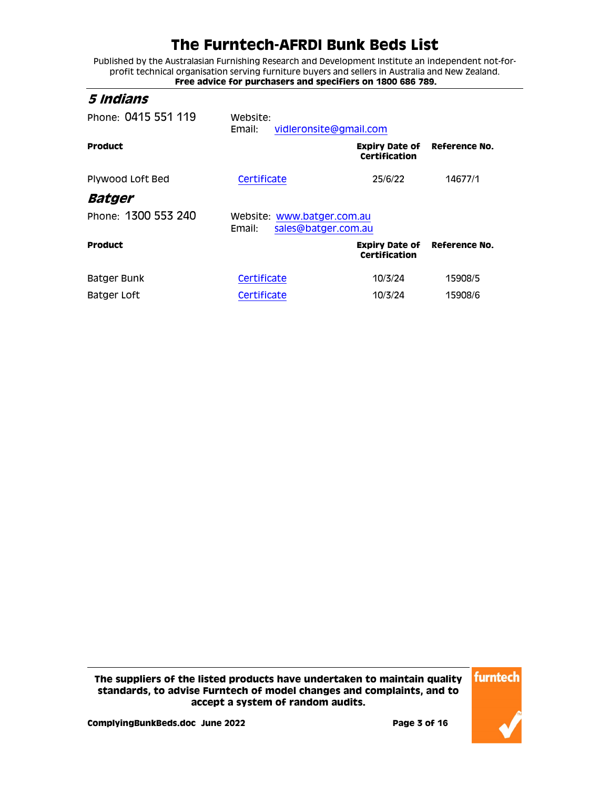Published by the Australasian Furnishing Research and Development Institute an independent not-forprofit technical organisation serving furniture buyers and sellers in Australia and New Zealand. **Free advice for purchasers and specifiers on 1800 686 789.**

#### <span id="page-2-0"></span>**5 Indians**

<span id="page-2-1"></span>

| Phone: 0415 551 119 | Website:<br>vidleronsite@gmail.com<br>Email:                |                                                      |                      |
|---------------------|-------------------------------------------------------------|------------------------------------------------------|----------------------|
| <b>Product</b>      |                                                             | <b>Expiry Date of</b><br><b>Certification</b>        | <b>Reference No.</b> |
| Plywood Loft Bed    | Certificate                                                 | 25/6/22                                              | 14677/1              |
| Batger              |                                                             |                                                      |                      |
| Phone: 1300 553 240 | Website: www.batger.com.au<br>Email:<br>sales@batger.com.au |                                                      |                      |
| <b>Product</b>      |                                                             | <b>Expiry Date of Reference No.</b><br>Certification |                      |
| Batger Bunk         | Certificate                                                 | 10/3/24                                              | 15908/5              |
| Batger Loft         | Certificate                                                 | 10/3/24                                              | 15908/6              |

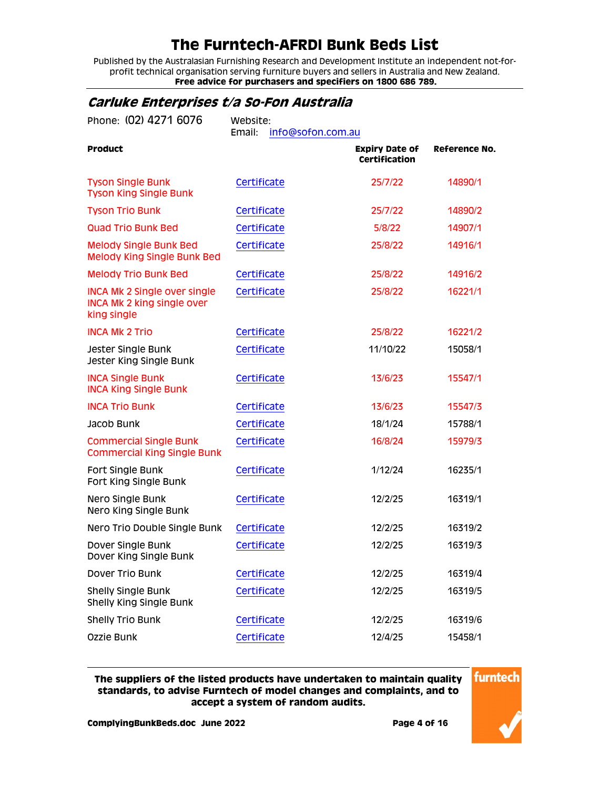Published by the Australasian Furnishing Research and Development Institute an independent not-forprofit technical organisation serving furniture buyers and sellers in Australia and New Zealand. **Free advice for purchasers and specifiers on 1800 686 789.**

#### <span id="page-3-0"></span>**Carluke Enterprises t/a So-Fon Australia**

| Phone: (02) 4271 6076                                                                   | Website:<br>Email:<br>info@sofon.com.au |                                               |               |
|-----------------------------------------------------------------------------------------|-----------------------------------------|-----------------------------------------------|---------------|
| <b>Product</b>                                                                          |                                         | <b>Expiry Date of</b><br><b>Certification</b> | Reference No. |
| <b>Tyson Single Bunk</b><br><b>Tyson King Single Bunk</b>                               | Certificate                             | 25/7/22                                       | 14890/1       |
| <b>Tyson Trio Bunk</b>                                                                  | Certificate                             | 25/7/22                                       | 14890/2       |
| <b>Quad Trio Bunk Bed</b>                                                               | Certificate                             | 5/8/22                                        | 14907/1       |
| <b>Melody Single Bunk Bed</b><br><b>Melody King Single Bunk Bed</b>                     | Certificate                             | 25/8/22                                       | 14916/1       |
| <b>Melody Trio Bunk Bed</b>                                                             | Certificate                             | 25/8/22                                       | 14916/2       |
| <b>INCA Mk 2 Single over single</b><br><b>INCA Mk 2 king single over</b><br>king single | Certificate                             | 25/8/22                                       | 16221/1       |
| <b>INCA MK 2 Trio</b>                                                                   | Certificate                             | 25/8/22                                       | 16221/2       |
| Jester Single Bunk<br>Jester King Single Bunk                                           | Certificate                             | 11/10/22                                      | 15058/1       |
| <b>INCA Single Bunk</b><br><b>INCA King Single Bunk</b>                                 | Certificate                             | 13/6/23                                       | 15547/1       |
| <b>INCA Trio Bunk</b>                                                                   | Certificate                             | 13/6/23                                       | 15547/3       |
| Jacob Bunk                                                                              | Certificate                             | 18/1/24                                       | 15788/1       |
| <b>Commercial Single Bunk</b><br><b>Commercial King Single Bunk</b>                     | Certificate                             | 16/8/24                                       | 15979/3       |
| Fort Single Bunk<br>Fort King Single Bunk                                               | Certificate                             | 1/12/24                                       | 16235/1       |
| Nero Single Bunk<br>Nero King Single Bunk                                               | Certificate                             | 12/2/25                                       | 16319/1       |
| Nero Trio Double Single Bunk                                                            | Certificate                             | 12/2/25                                       | 16319/2       |
| Dover Single Bunk<br>Dover King Single Bunk                                             | Certificate                             | 12/2/25                                       | 16319/3       |
| Dover Trio Bunk                                                                         | Certificate                             | 12/2/25                                       | 16319/4       |
| <b>Shelly Single Bunk</b><br>Shelly King Single Bunk                                    | Certificate                             | 12/2/25                                       | 16319/5       |
| <b>Shelly Trio Bunk</b>                                                                 | Certificate                             | 12/2/25                                       | 16319/6       |
| Ozzie Bunk                                                                              | Certificate                             | 12/4/25                                       | 15458/1       |

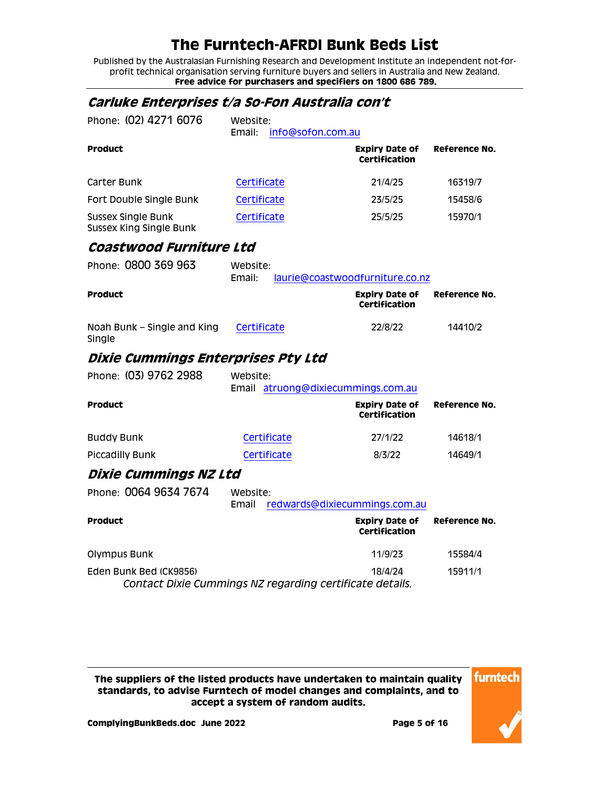Published by the Australasian Furnishing Research and Development Institute an independent not-forprofit technical organisation serving furniture buyers and sellers in Australia and New Zealand. **Free advice for purchasers and specifiers on 1800 686 789.**

#### <span id="page-4-0"></span>**Carluke Enterprises t/a So-Fon Australia con't**

<span id="page-4-3"></span><span id="page-4-2"></span><span id="page-4-1"></span>

| Phone: (02) 4271 6076                                                              | Website:<br>Email: | info@sofon.com.au             |                                               |               |
|------------------------------------------------------------------------------------|--------------------|-------------------------------|-----------------------------------------------|---------------|
| <b>Product</b>                                                                     |                    |                               | <b>Expiry Date of</b><br><b>Certification</b> | Reference No. |
| Carter Bunk                                                                        | Certificate        |                               | 21/4/25                                       | 16319/7       |
| Fort Double Single Bunk                                                            | Certificate        |                               | 23/5/25                                       | 15458/6       |
| <b>Sussex Single Bunk</b><br><b>Sussex King Single Bunk</b>                        | Certificate        |                               | 25/5/25                                       | 15970/1       |
| Coastwood Furniture Ltd                                                            |                    |                               |                                               |               |
| Phone: 0800 369 963                                                                | Website:<br>Email: |                               | laurie@coastwoodfurniture.co.nz               |               |
| <b>Product</b>                                                                     |                    |                               | <b>Expiry Date of</b><br><b>Certification</b> | Reference No. |
| Noah Bunk - Single and King<br>Single                                              | Certificate        |                               | 22/8/22                                       | 14410/2       |
| Dixie Cummings Enterprises Pty Ltd                                                 |                    |                               |                                               |               |
| Phone: (03) 9762 2988                                                              | Website:<br>Email  | atruong@dixiecummings.com.au  |                                               |               |
| <b>Product</b>                                                                     |                    |                               | <b>Expiry Date of</b><br><b>Certification</b> | Reference No. |
| <b>Buddy Bunk</b>                                                                  | Certificate        |                               | 27/1/22                                       | 14618/1       |
| <b>Piccadilly Bunk</b>                                                             | Certificate        |                               | 8/3/22                                        | 14649/1       |
| Dixie Cummings NZ Ltd                                                              |                    |                               |                                               |               |
| Phone: 0064 9634 7674                                                              | Website:<br>Email  | redwards@dixiecummings.com.au |                                               |               |
| <b>Product</b>                                                                     |                    |                               | <b>Expiry Date of</b><br>Certification        | Reference No. |
| Olympus Bunk                                                                       |                    |                               | 11/9/23                                       | 15584/4       |
| Eden Bunk Bed (CK9856)<br>Contact Dixie Cummings NZ regarding certificate details. |                    |                               | 18/4/24                                       | 15911/1       |

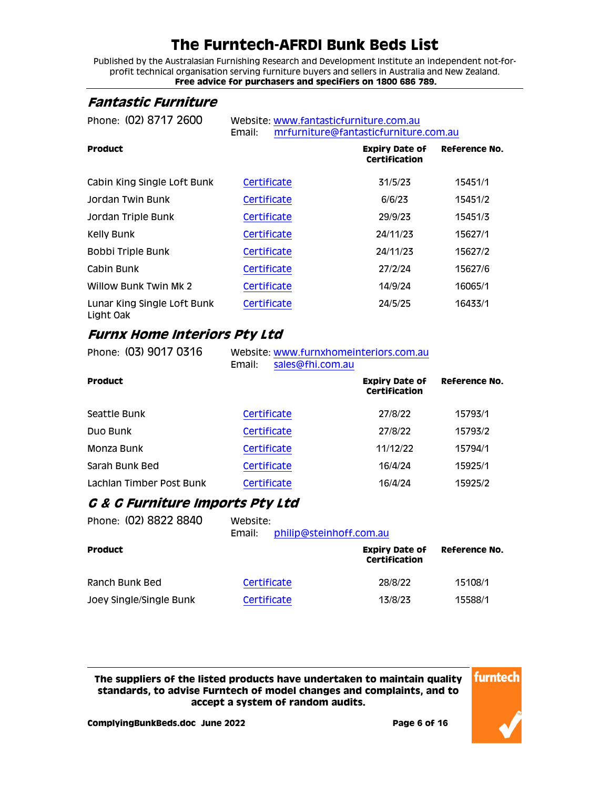Published by the Australasian Furnishing Research and Development Institute an independent not-forprofit technical organisation serving furniture buyers and sellers in Australia and New Zealand. **Free advice for purchasers and specifiers on 1800 686 789.**

#### <span id="page-5-0"></span>**Fantastic Furniture**

Phone: (02) 8717 2600 Website: [www.fantasticfurniture.com.au](http://www.fantasticfurniture.com.au/) Email: [mrfurniture@fantasticfurniture.com.au](mailto:mrfurniture@fantasticfurniture.com.au) **Product Expiry Date of Certification Reference No.** Cabin King Single Loft Bunk [Certificate](http://www.furntech.org.au/fs/index.php?dir=15000/15400/&file=15451-1_200625_ct.pdf) 31/5/23 15451/1 Jordan Twin Bunk [Certificate](http://www.furntech.org.au/fs/index.php?dir=15000/15400/&file=15451-2_200625_ct.pdf) 6/6/23 15451/2 Jordan Triple Bunk [Certificate](http://www.furntech.org.au/fs/index.php?dir=15000/15400/&file=15451-3_200625_ct.pdf) 29/9/23 15451/3 Kelly Bunk [Certificate](http://www.furntech.org.au/fs/index.php?dir=15000/15600/&file=15627-1_200930_ct.pdf) 24/11/23 15627/1 Bobbi Triple Bunk [Certificate](http://www.furntech.org.au/fs/index.php?dir=15000/15600/&file=15627-2_200930_ct.pdf) 24/11/23 15627/2

|                                          | ----------  | _ .,, _ _ | .       |
|------------------------------------------|-------------|-----------|---------|
| Cabin Bunk                               | Certificate | 27/2/24   | 15627/6 |
| Willow Bunk Twin Mk 2                    | Certificate | 14/9/24   | 16065/1 |
| Lunar King Single Loft Bunk<br>Light Oak | Certificate | 24/5/25   | 16433/1 |

#### <span id="page-5-1"></span>**Furnx Home Interiors Pty Ltd**

| Phone: (03) 9017 0316    | Website: www.furnxhomeinteriors.com.au<br>Email:<br>sales@fhi.com.au |                                        |               |
|--------------------------|----------------------------------------------------------------------|----------------------------------------|---------------|
| <b>Product</b>           |                                                                      | <b>Expiry Date of</b><br>Certification | Reference No. |
| Seattle Bunk             | Certificate                                                          | 27/8/22                                | 15793/1       |
| Duo Bunk                 | Certificate                                                          | 27/8/22                                | 15793/2       |
| Monza Bunk               | Certificate                                                          | 11/12/22                               | 15794/1       |
| Sarah Bunk Bed           | Certificate                                                          | 16/4/24                                | 15925/1       |
| Lachlan Timber Post Bunk | Certificate                                                          | 16/4/24                                | 15925/2       |

#### <span id="page-5-2"></span>**G & G Furniture Imports Pty Ltd**

| Phone: (02) 8822 8840   | Website:<br>philip@steinhoff.com.au<br>Email: |                                        |                      |
|-------------------------|-----------------------------------------------|----------------------------------------|----------------------|
| <b>Product</b>          |                                               | <b>Expiry Date of</b><br>Certification | <b>Reference No.</b> |
| Ranch Bunk Bed          | Certificate                                   | 28/8/22                                | 15108/1              |
| Joey Single/Single Bunk | Certificate                                   | 13/8/23                                | 15588/1              |

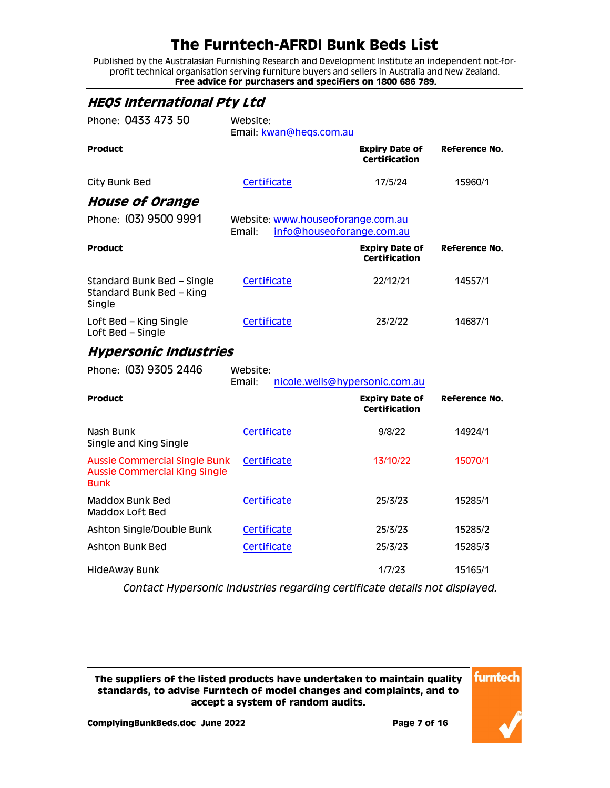Published by the Australasian Furnishing Research and Development Institute an independent not-forprofit technical organisation serving furniture buyers and sellers in Australia and New Zealand. **Free advice for purchasers and specifiers on 1800 686 789.**

<span id="page-6-2"></span><span id="page-6-1"></span><span id="page-6-0"></span>

| <b>HEQS International Pty Ltd</b>                                                           |                                                                            |                                               |               |
|---------------------------------------------------------------------------------------------|----------------------------------------------------------------------------|-----------------------------------------------|---------------|
| Phone: 0433 473 50                                                                          | Website:<br>Email: kwan@heqs.com.au                                        |                                               |               |
| <b>Product</b>                                                                              |                                                                            | <b>Expiry Date of</b><br><b>Certification</b> | Reference No. |
| City Bunk Bed                                                                               | Certificate                                                                | 17/5/24                                       | 15960/1       |
| <b>House of Orange</b>                                                                      |                                                                            |                                               |               |
| Phone: (03) 9500 9991                                                                       | Website: www.houseoforange.com.au<br>Email:                                | info@houseoforange.com.au                     |               |
| <b>Product</b>                                                                              |                                                                            | <b>Expiry Date of</b><br>Certification        | Reference No. |
| Standard Bunk Bed - Single<br>Standard Bunk Bed - King<br>Single                            | Certificate                                                                | 22/12/21                                      | 14557/1       |
| Loft Bed - King Single<br>Loft Bed - Single                                                 | Certificate                                                                | 23/2/22                                       | 14687/1       |
| <b>Hypersonic Industries</b>                                                                |                                                                            |                                               |               |
| Phone: (03) 9305 2446                                                                       | Website:<br>Email:                                                         | nicole.wells@hypersonic.com.au                |               |
| <b>Product</b>                                                                              |                                                                            | <b>Expiry Date of</b><br><b>Certification</b> | Reference No. |
| Nash Bunk<br>Single and King Single                                                         | Certificate                                                                | 9/8/22                                        | 14924/1       |
| <b>Aussie Commercial Single Bunk</b><br><b>Aussie Commercial King Single</b><br><b>Bunk</b> | Certificate                                                                | 13/10/22                                      | 15070/1       |
| Maddox Bunk Bed<br>Maddox Loft Bed                                                          | Certificate                                                                | 25/3/23                                       | 15285/1       |
| Ashton Single/Double Bunk                                                                   | Certificate                                                                | 25/3/23                                       | 15285/2       |
| Ashton Bunk Bed                                                                             | Certificate                                                                | 25/3/23                                       | 15285/3       |
| <b>HideAway Bunk</b>                                                                        |                                                                            | 1/7/23                                        | 15165/1       |
|                                                                                             | Contact Hypersonic Industries regarding certificate details not displayed. |                                               |               |

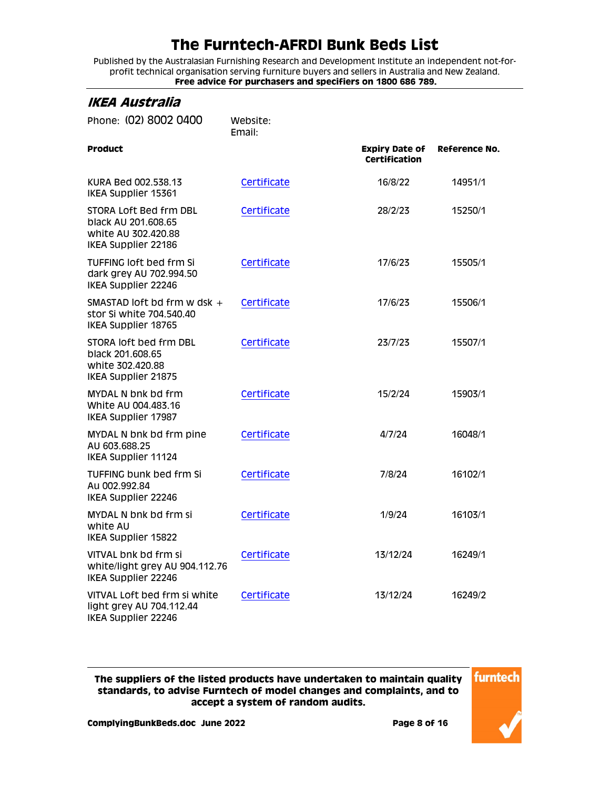Published by the Australasian Furnishing Research and Development Institute an independent not-forprofit technical organisation serving furniture buyers and sellers in Australia and New Zealand. **Free advice for purchasers and specifiers on 1800 686 789.**

<span id="page-7-0"></span>

| IKEA Australia                                                                              |                    |                                               |               |
|---------------------------------------------------------------------------------------------|--------------------|-----------------------------------------------|---------------|
| Phone: (02) 8002 0400                                                                       | Website:<br>Email: |                                               |               |
| <b>Product</b>                                                                              |                    | <b>Expiry Date of</b><br><b>Certification</b> | Reference No. |
| KURA Bed 002.538.13<br>IKEA Supplier 15361                                                  | Certificate        | 16/8/22                                       | 14951/1       |
| STORA Loft Bed frm DBL<br>black AU 201.608.65<br>white AU 302.420.88<br>IKEA Supplier 22186 | Certificate        | 28/2/23                                       | 15250/1       |
| <b>TUFFING loft bed frm Si</b><br>dark grey AU 702.994.50<br>IKEA Supplier 22246            | Certificate        | 17/6/23                                       | 15505/1       |
| SMASTAD loft bd frm w dsk +<br>stor Si white 704.540.40<br>IKEA Supplier 18765              | Certificate        | 17/6/23                                       | 15506/1       |
| STORA loft bed frm DBL<br>black 201.608.65<br>white 302.420.88<br>IKEA Supplier 21875       | Certificate        | 23/7/23                                       | 15507/1       |
| <b>MYDAL N bnk bd frm</b><br>White AU 004.483.16<br>IKEA Supplier 17987                     | Certificate        | 15/2/24                                       | 15903/1       |
| MYDAL N bnk bd frm pine<br>AU 603.688.25<br>IKEA Supplier 11124                             | Certificate        | 4/7/24                                        | 16048/1       |
| <b>TUFFING bunk bed frm Si</b><br>Au 002.992.84<br>IKEA Supplier 22246                      | Certificate        | 7/8/24                                        | 16102/1       |
| <b>MYDAL N bnk bd frm si</b><br>white AU<br>IKEA Supplier 15822                             | Certificate        | 1/9/24                                        | 16103/1       |
| VITVAL bnk bd frm si<br>white/light grey AU 904.112.76<br>IKEA Supplier 22246               | Certificate        | 13/12/24                                      | 16249/1       |
| VITVAL Loft bed frm si white<br>light grey AU 704.112.44<br>IKEA Supplier 22246             | Certificate        | 13/12/24                                      | 16249/2       |

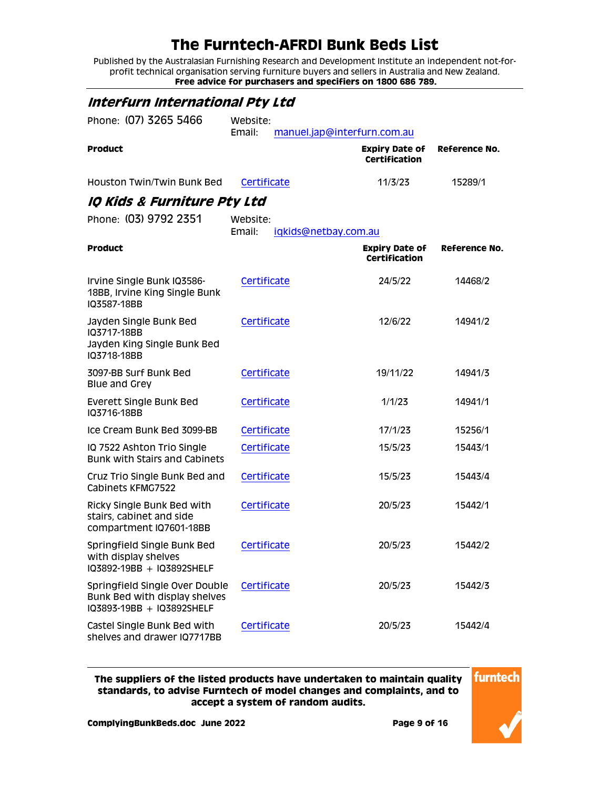Published by the Australasian Furnishing Research and Development Institute an independent not-forprofit technical organisation serving furniture buyers and sellers in Australia and New Zealand. **Free advice for purchasers and specifiers on 1800 686 789.**

<span id="page-8-1"></span><span id="page-8-0"></span>

| Interfurn International Pty Ltd                                                              |                                            |                                               |               |
|----------------------------------------------------------------------------------------------|--------------------------------------------|-----------------------------------------------|---------------|
| Phone: (07) 3265 5466                                                                        | Website:<br>Email:                         | manuel.jap@interfurn.com.au                   |               |
| <b>Product</b>                                                                               |                                            | <b>Expiry Date of</b><br><b>Certification</b> | Reference No. |
| Houston Twin/Twin Bunk Bed                                                                   | Certificate                                | 11/3/23                                       | 15289/1       |
| IQ Kids & Furniture Pty Ltd                                                                  |                                            |                                               |               |
| Phone: (03) 9792 2351                                                                        | Website:<br>Email:<br>iqkids@netbay.com.au |                                               |               |
| <b>Product</b>                                                                               |                                            | <b>Expiry Date of</b><br><b>Certification</b> | Reference No. |
| Irvine Single Bunk IQ3586-<br>18BB, Irvine King Single Bunk<br>IQ3587-18BB                   | Certificate                                | 24/5/22                                       | 14468/2       |
| Jayden Single Bunk Bed<br>IQ3717-18BB<br>Jayden King Single Bunk Bed<br>IQ3718-18BB          | Certificate                                | 12/6/22                                       | 14941/2       |
| 3097-BB Surf Bunk Bed<br>Blue and Grey                                                       | Certificate                                | 19/11/22                                      | 14941/3       |
| <b>Everett Single Bunk Bed</b><br>IQ3716-18BB                                                | Certificate                                | 1/1/23                                        | 14941/1       |
| Ice Cream Bunk Bed 3099-BB                                                                   | Certificate                                | 17/1/23                                       | 15256/1       |
| IQ 7522 Ashton Trio Single<br><b>Bunk with Stairs and Cabinets</b>                           | Certificate                                | 15/5/23                                       | 15443/1       |
| Cruz Trio Single Bunk Bed and<br>Cabinets KFMG7522                                           | Certificate                                | 15/5/23                                       | 15443/4       |
| Ricky Single Bunk Bed with<br>stairs, cabinet and side<br>compartment IQ7601-18BB            | Certificate                                | 20/5/23                                       | 15442/1       |
| Springfield Single Bunk Bed<br>with display shelves<br>IQ3892-19BB + IQ3892SHELF             | Certificate                                | 20/5/23                                       | 15442/2       |
| Springfield Single Over Double<br>Bunk Bed with display shelves<br>IQ3893-19BB + IQ3892SHELF | Certificate                                | 20/5/23                                       | 15442/3       |
| Castel Single Bunk Bed with<br>shelves and drawer IQ7717BB                                   | Certificate                                | 20/5/23                                       | 15442/4       |

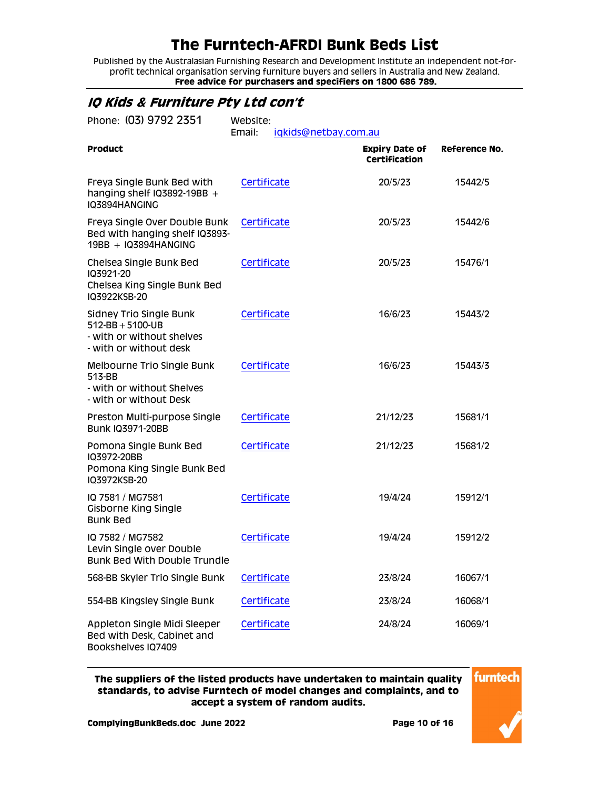Published by the Australasian Furnishing Research and Development Institute an independent not-forprofit technical organisation serving furniture buyers and sellers in Australia and New Zealand. **Free advice for purchasers and specifiers on 1800 686 789.**

#### <span id="page-9-0"></span>**IQ Kids & Furniture Pty Ltd con't**

| Phone: (03) 9792 2351<br>Website:<br>Email:<br>iqkids@netbay.com.au                                  |             |                                               |                      |
|------------------------------------------------------------------------------------------------------|-------------|-----------------------------------------------|----------------------|
| <b>Product</b>                                                                                       |             | <b>Expiry Date of</b><br><b>Certification</b> | <b>Reference No.</b> |
| Freya Single Bunk Bed with<br>hanging shelf IQ3892-19BB $+$<br>IQ3894HANGING                         | Certificate | 20/5/23                                       | 15442/5              |
| Freya Single Over Double Bunk<br>Bed with hanging shelf IQ3893-<br>19BB + IQ3894HANGING              | Certificate | 20/5/23                                       | 15442/6              |
| Chelsea Single Bunk Bed<br>IQ3921-20<br>Chelsea King Single Bunk Bed<br>IQ3922KSB-20                 | Certificate | 20/5/23                                       | 15476/1              |
| Sidney Trio Single Bunk<br>$512-BB + 5100-UB$<br>- with or without shelves<br>- with or without desk | Certificate | 16/6/23                                       | 15443/2              |
| Melbourne Trio Single Bunk<br>513-BB<br>- with or without Shelves<br>- with or without Desk          | Certificate | 16/6/23                                       | 15443/3              |
| Preston Multi-purpose Single<br><b>Bunk IQ3971-20BB</b>                                              | Certificate | 21/12/23                                      | 15681/1              |
| Pomona Single Bunk Bed<br>IQ3972-20BB<br>Pomona King Single Bunk Bed<br>IQ3972KSB-20                 | Certificate | 21/12/23                                      | 15681/2              |
| IQ 7581 / MG7581<br>Gisborne King Single<br><b>Bunk Bed</b>                                          | Certificate | 19/4/24                                       | 15912/1              |
| IQ 7582 / MG7582<br>Levin Single over Double<br><b>Bunk Bed With Double Trundle</b>                  | Certificate | 19/4/24                                       | 15912/2              |
| 568-BB Skyler Trio Single Bunk                                                                       | Certificate | 23/8/24                                       | 16067/1              |
| 554-BB Kingsley Single Bunk                                                                          | Certificate | 23/8/24                                       | 16068/1              |
| Appleton Single Midi Sleeper<br>Bed with Desk, Cabinet and<br>Bookshelves IQ7409                     | Certificate | 24/8/24                                       | 16069/1              |

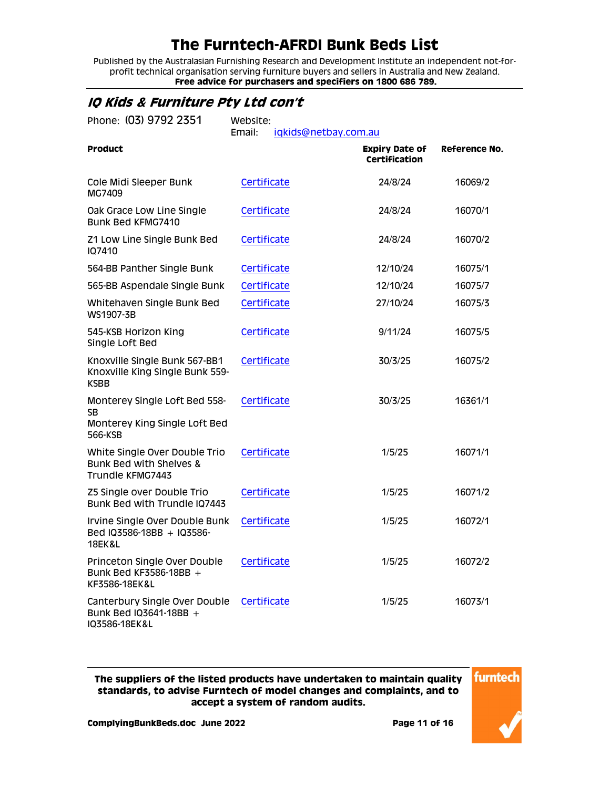Published by the Australasian Furnishing Research and Development Institute an independent not-forprofit technical organisation serving furniture buyers and sellers in Australia and New Zealand. **Free advice for purchasers and specifiers on 1800 686 789.**

#### <span id="page-10-0"></span>**IQ Kids & Furniture Pty Ltd con't**

| Phone: (03) 9792 2351                                                                   | Website:<br>Email:<br>iqkids@netbay.com.au |                                        |                      |
|-----------------------------------------------------------------------------------------|--------------------------------------------|----------------------------------------|----------------------|
| <b>Product</b>                                                                          |                                            | <b>Expiry Date of</b><br>Certification | <b>Reference No.</b> |
| Cole Midi Sleeper Bunk<br>MG7409                                                        | Certificate                                | 24/8/24                                | 16069/2              |
| Oak Grace Low Line Single<br>Bunk Bed KFMG7410                                          | Certificate                                | 24/8/24                                | 16070/1              |
| Z1 Low Line Single Bunk Bed<br>107410                                                   | Certificate                                | 24/8/24                                | 16070/2              |
| 564-BB Panther Single Bunk                                                              | Certificate                                | 12/10/24                               | 16075/1              |
| 565-BB Aspendale Single Bunk                                                            | Certificate                                | 12/10/24                               | 16075/7              |
| Whitehaven Single Bunk Bed<br>WS1907-3B                                                 | Certificate                                | 27/10/24                               | 16075/3              |
| 545-KSB Horizon King<br>Single Loft Bed                                                 | Certificate                                | 9/11/24                                | 16075/5              |
| Knoxville Single Bunk 567-BB1<br>Knoxville King Single Bunk 559-<br><b>KSBB</b>         | Certificate                                | 30/3/25                                | 16075/2              |
| Monterey Single Loft Bed 558-<br>SB<br>Monterey King Single Loft Bed<br>566-KSB         | Certificate                                | 30/3/25                                | 16361/1              |
| White Single Over Double Trio<br><b>Bunk Bed with Shelves &amp;</b><br>Trundle KFMG7443 | Certificate                                | 1/5/25                                 | 16071/1              |
| Z5 Single over Double Trio<br>Bunk Bed with Trundle IQ7443                              | Certificate                                | 1/5/25                                 | 16071/2              |
| Irvine Single Over Double Bunk<br>Bed IQ3586-18BB + IQ3586-<br><b>18EK&amp;L</b>        | Certificate                                | 1/5/25                                 | 16072/1              |
| Princeton Single Over Double<br>Bunk Bed KF3586-18BB $+$<br>KF3586-18EK&L               | Certificate                                | 1/5/25                                 | 16072/2              |
| Canterbury Single Over Double<br>Bunk Bed IQ3641-18BB +<br>IQ3586-18EK&L                | Certificate                                | 1/5/25                                 | 16073/1              |

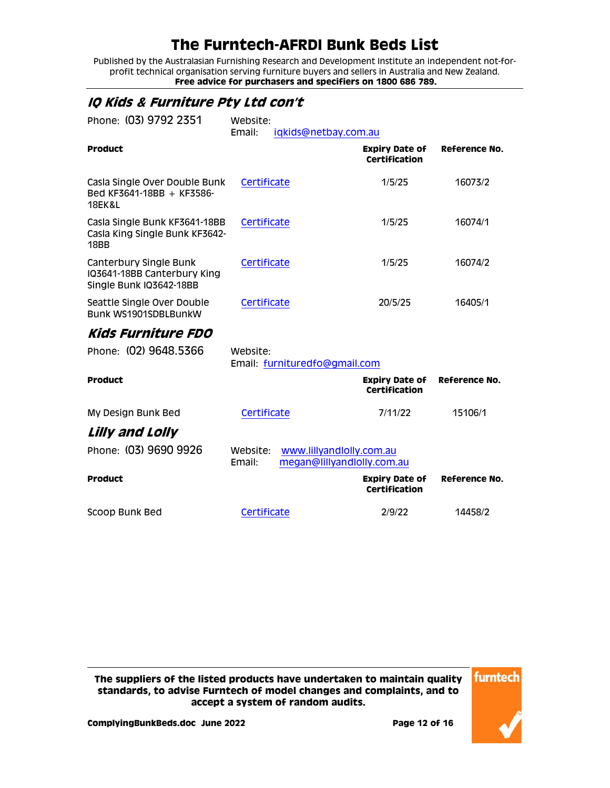Published by the Australasian Furnishing Research and Development Institute an independent not-forprofit technical organisation serving furniture buyers and sellers in Australia and New Zealand. **Free advice for purchasers and specifiers on 1800 686 789.**

#### <span id="page-11-0"></span>**IQ Kids & Furniture Pty Ltd con't**

<span id="page-11-2"></span><span id="page-11-1"></span>

| Phone: (03) 9792 2351                                                             | Website:<br>Email: | iqkids@netbay.com.au                                   |                                               |               |
|-----------------------------------------------------------------------------------|--------------------|--------------------------------------------------------|-----------------------------------------------|---------------|
| <b>Product</b>                                                                    |                    |                                                        | <b>Expiry Date of</b><br><b>Certification</b> | Reference No. |
| Casla Single Over Double Bunk<br>$Red$ KF3641-18BB + KF3586-<br><b>18EK&amp;L</b> | Certificate        |                                                        | 1/5/25                                        | 16073/2       |
| Casla Single Bunk KF3641-18BB<br>Casla King Single Bunk KF3642-<br>18BB           | Certificate        |                                                        | 1/5/25                                        | 16074/1       |
| Canterbury Single Bunk<br>IQ3641-18BB Canterbury King<br>Single Bunk IQ3642-18BB  | Certificate        |                                                        | 1/5/25                                        | 16074/2       |
| Seattle Single Over Double<br>Bunk WS1901SDBLBunkW                                | Certificate        |                                                        | 20/5/25                                       | 16405/1       |
| Kids Furniture FDO                                                                |                    |                                                        |                                               |               |
| Phone: (02) 9648.5366                                                             | Website:           | Email: furnituredfo@gmail.com                          |                                               |               |
| <b>Product</b>                                                                    |                    |                                                        | <b>Expiry Date of</b><br><b>Certification</b> | Reference No. |
| My Design Bunk Bed                                                                | Certificate        |                                                        | 7/11/22                                       | 15106/1       |
| Lilly and Lolly                                                                   |                    |                                                        |                                               |               |
| Phone: (03) 9690 9926                                                             | Website:<br>Email: | www.lillyandlolly.com.au<br>megan@lillyandlolly.com.au |                                               |               |
| <b>Product</b>                                                                    |                    |                                                        | <b>Expiry Date of</b><br>Certification        | Reference No. |
| Scoop Bunk Bed                                                                    | Certificate        |                                                        | 2/9/22                                        | 14458/2       |

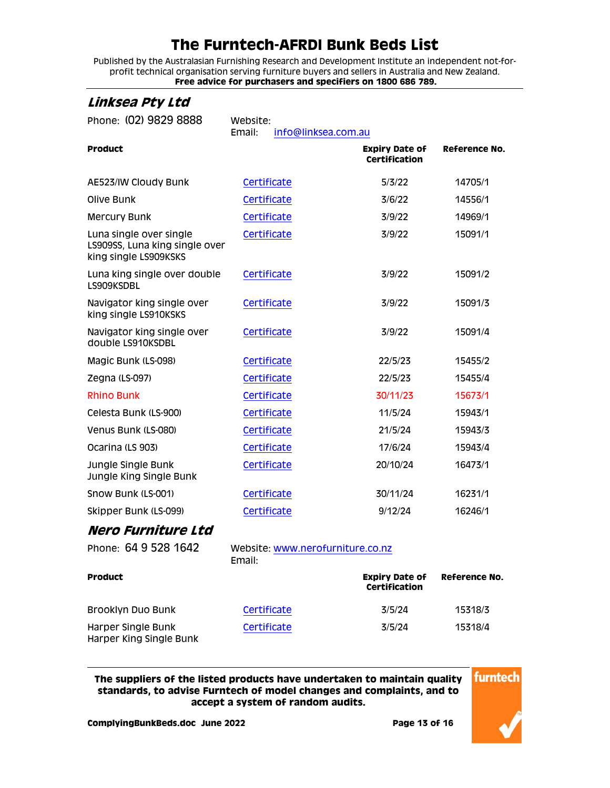Published by the Australasian Furnishing Research and Development Institute an independent not-forprofit technical organisation serving furniture buyers and sellers in Australia and New Zealand. **Free advice for purchasers and specifiers on 1800 686 789.**

| Phone: (02) 9829 8888                                                              | Website:<br>Email:<br>info@linksea.com.au |                                               |               |
|------------------------------------------------------------------------------------|-------------------------------------------|-----------------------------------------------|---------------|
| <b>Product</b>                                                                     |                                           | <b>Expiry Date of</b><br><b>Certification</b> | Reference No. |
| AE523/IW Cloudy Bunk                                                               | Certificate                               | 5/3/22                                        | 14705/1       |
| Olive Bunk                                                                         | Certificate                               | 3/6/22                                        | 14556/1       |
| <b>Mercury Bunk</b>                                                                | Certificate                               | 3/9/22                                        | 14969/1       |
| Luna single over single<br>LS909SS, Luna king single over<br>king single LS909KSKS | Certificate                               | 3/9/22                                        | 15091/1       |
| Luna king single over double<br>LS909KSDBL                                         | Certificate                               | 3/9/22                                        | 15091/2       |
| Navigator king single over<br>king single LS910KSKS                                | Certificate                               | 3/9/22                                        | 15091/3       |
| Navigator king single over<br>double LS910KSDBL                                    | Certificate                               | 3/9/22                                        | 15091/4       |
| Magic Bunk (LS-098)                                                                | Certificate                               | 22/5/23                                       | 15455/2       |
| Zegna (LS-097)                                                                     | Certificate                               | 22/5/23                                       | 15455/4       |
| <b>Rhino Bunk</b>                                                                  | Certificate                               | 30/11/23                                      | 15673/1       |
| Celesta Bunk (LS-900)                                                              | Certificate                               | 11/5/24                                       | 15943/1       |
| Venus Bunk (LS-080)                                                                | Certificate                               | 21/5/24                                       | 15943/3       |
| Ocarina (LS 903)                                                                   | Certificate                               | 17/6/24                                       | 15943/4       |
| Jungle Single Bunk<br>Jungle King Single Bunk                                      | Certificate                               | 20/10/24                                      | 16473/1       |
| Snow Bunk (LS-001)                                                                 | Certificate                               | 30/11/24                                      | 16231/1       |
| Skipper Bunk (LS-099)                                                              | Certificate                               | 9/12/24                                       | 16246/1       |
| Nero Furniture Ltd                                                                 |                                           |                                               |               |

<span id="page-12-1"></span>Phone: 64 9 528 1642 Website: [www.nerofurniture.co.nz](http://www.nerofurniture.co.nz/) Email:

| <b>Product</b>                                |             | <b>Expiry Date of</b><br><b>Certification</b> | Reference No. |
|-----------------------------------------------|-------------|-----------------------------------------------|---------------|
| <b>Brooklyn Duo Bunk</b>                      | Certificate | 3/5/24                                        | 15318/3       |
| Harper Single Bunk<br>Harper King Single Bunk | Certificate | 3/5/24                                        | 15318/4       |

**The suppliers of the listed products have undertaken to maintain quality standards, to advise Furntech of model changes and complaints, and to accept a system of random audits.**

<span id="page-12-0"></span>**Linksea Pty Ltd**

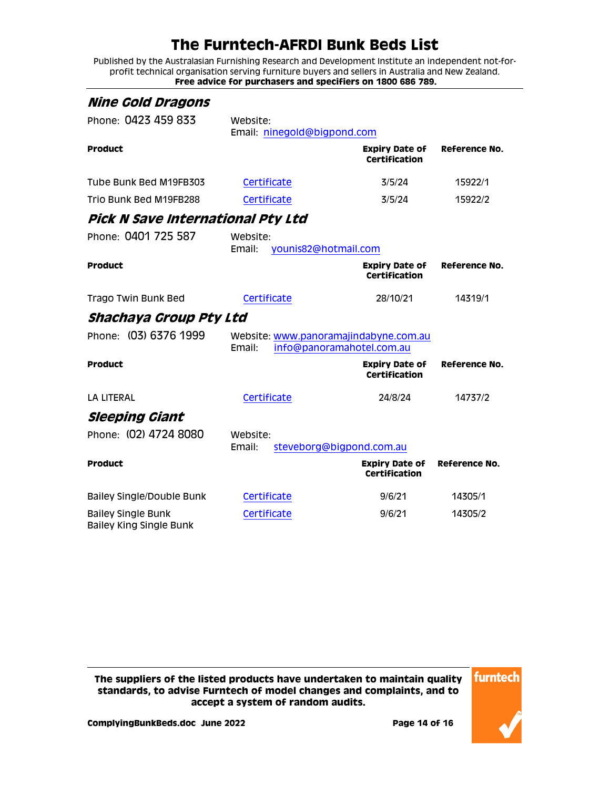Published by the Australasian Furnishing Research and Development Institute an independent not-forprofit technical organisation serving furniture buyers and sellers in Australia and New Zealand. **Free advice for purchasers and specifiers on 1800 686 789.**

<span id="page-13-3"></span><span id="page-13-2"></span><span id="page-13-1"></span><span id="page-13-0"></span>

| <b>Nine Gold Dragons</b>                                    |                    |                                                                    |                                               |               |
|-------------------------------------------------------------|--------------------|--------------------------------------------------------------------|-----------------------------------------------|---------------|
| Phone: 0423 459 833                                         | Website:           | Email: ninegold@bigpond.com                                        |                                               |               |
| <b>Product</b>                                              |                    |                                                                    | <b>Expiry Date of</b><br><b>Certification</b> | Reference No. |
| Tube Bunk Bed M19FB303                                      | Certificate        |                                                                    | 3/5/24                                        | 15922/1       |
| Trio Bunk Bed M19FB288                                      | Certificate        |                                                                    | 3/5/24                                        | 15922/2       |
| Pick N Save International Pty Ltd                           |                    |                                                                    |                                               |               |
| Phone: 0401 725 587                                         | Website:<br>Email: | younis82@hotmail.com                                               |                                               |               |
| <b>Product</b>                                              |                    |                                                                    | <b>Expiry Date of</b><br>Certification        | Reference No. |
| Trago Twin Bunk Bed                                         | Certificate        |                                                                    | 28/10/21                                      | 14319/1       |
| Shachaya Group Pty Ltd                                      |                    |                                                                    |                                               |               |
| Phone: (03) 6376 1999                                       | Email:             | Website: www.panoramajindabyne.com.au<br>info@panoramahotel.com.au |                                               |               |
| <b>Product</b>                                              |                    |                                                                    | <b>Expiry Date of</b><br><b>Certification</b> | Reference No. |
| <b>LA LITERAL</b>                                           | Certificate        |                                                                    | 24/8/24                                       | 14737/2       |
| <i><b>Sleeping Giant</b></i>                                |                    |                                                                    |                                               |               |
| Phone: (02) 4724 8080                                       | Website:<br>Email: | steveborg@bigpond.com.au                                           |                                               |               |
| <b>Product</b>                                              |                    |                                                                    | <b>Expiry Date of</b><br><b>Certification</b> | Reference No. |
| <b>Bailey Single/Double Bunk</b>                            | Certificate        |                                                                    | 9/6/21                                        | 14305/1       |
| <b>Bailey Single Bunk</b><br><b>Bailey King Single Bunk</b> | Certificate        |                                                                    | 9/6/21                                        | 14305/2       |

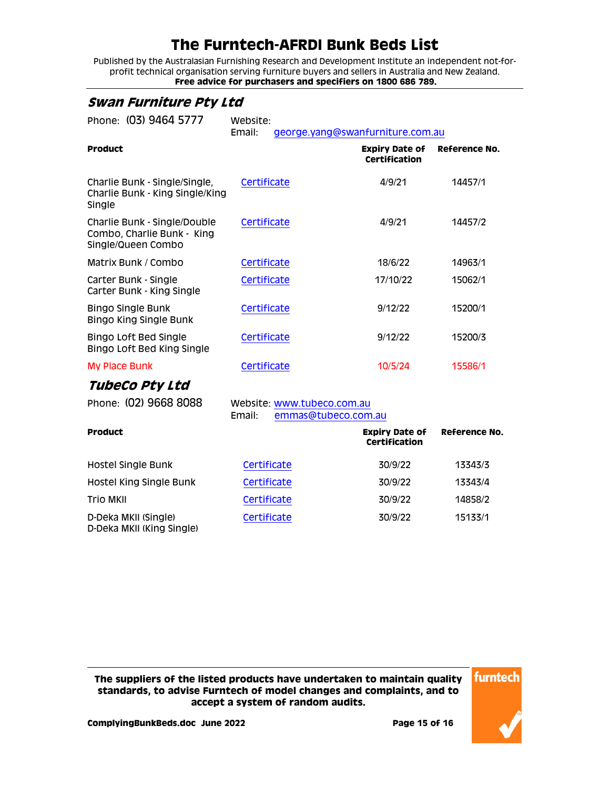Published by the Australasian Furnishing Research and Development Institute an independent not-forprofit technical organisation serving furniture buyers and sellers in Australia and New Zealand. **Free advice for purchasers and specifiers on 1800 686 789.**

#### <span id="page-14-0"></span>**Swan Furniture Pty Ltd**

| Phone: (03) 9464 5777                                                            | Website:<br>Email:                                          | george.yang@swanfurniture.com.au       |               |
|----------------------------------------------------------------------------------|-------------------------------------------------------------|----------------------------------------|---------------|
| <b>Product</b>                                                                   |                                                             | <b>Expiry Date of</b><br>Certification | Reference No. |
| Charlie Bunk - Single/Single,<br>Charlie Bunk - King Single/King<br>Single       | Certificate                                                 | 4/9/21                                 | 14457/1       |
| Charlie Bunk - Single/Double<br>Combo, Charlie Bunk - King<br>Single/Queen Combo | Certificate                                                 | 4/9/21                                 | 14457/2       |
| Matrix Bunk / Combo                                                              | Certificate                                                 | 18/6/22                                | 14963/1       |
| Carter Bunk - Single<br>Carter Bunk - King Single                                | Certificate                                                 | 17/10/22                               | 15062/1       |
| <b>Bingo Single Bunk</b><br><b>Bingo King Single Bunk</b>                        | Certificate                                                 | 9/12/22                                | 15200/1       |
| <b>Bingo Loft Bed Single</b><br>Bingo Loft Bed King Single                       | Certificate                                                 | 9/12/22                                | 15200/3       |
| <b>My Place Bunk</b>                                                             | Certificate                                                 | 10/5/24                                | 15586/1       |
| TubeCo Pty Ltd                                                                   |                                                             |                                        |               |
| Phone: (02) 9668 8088                                                            | Website: www.tubeco.com.au<br>Email:<br>emmas@tubeco.com.au |                                        |               |
| <b>Product</b>                                                                   |                                                             | <b>Expiry Date of</b><br>Certification | Reference No. |
| Hostel Single Bunk                                                               | Certificate                                                 | 30/9/22                                | 13343/3       |

<span id="page-14-1"></span>Hostel King Single Bunk [Certificate](http://www.furntech.org.au/fs/index.php?dir=13000/13300/&file=13343-4_181205_ctrd1.pdf) 30/9/22 13343/4 Trio MKII [Certificate](http://www.furntech.org.au/fs/index.php?dir=14000/14800/&file=14858-2_190418_ctrd.pdf) 30/9/22 14858/2

[Certificate](http://www.furntech.org.au/fs/index.php?dir=15000/15100/&file=15133-1_200817_ctrd.pdf) 30/9/22 15133/1

**The suppliers of the listed products have undertaken to maintain quality standards, to advise Furntech of model changes and complaints, and to accept a system of random audits.**

D-Deka MKII (Single) D-Deka MKII (King Single)